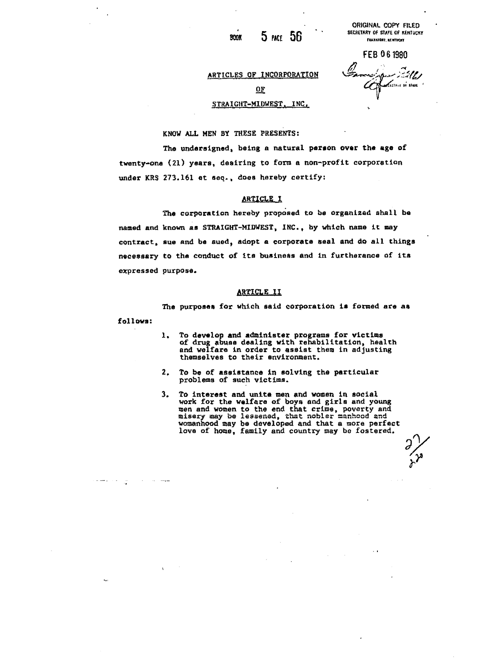$5$  PACE  $56$ **BOOK** 

**ORIGINAL COPY FILED SECRETARY OF STATE OF KENTUCKT**<br>FRANKFORE KENTUCKT

FE8061980 n 120 = 0 1300<br>Eancystown 201

# ARTICLES OF INCORPORATION **Qp ^^Ljrf«t»i.( 01\* tl«I '**

### STRAIGHT-MIDWEST. INC.

KNOW ALL MEN BY THESE PRESENTS:

The undersigned, being a natural person over the age of twenty-one (21) years, desiring to form a non-profit corporation under KRS 273.161 et seq. , does hereby certify:

#### **ARTICLE I**

The corporation hereby proposed to be organized shall be named and known as STRAIGHT-MIDWEST, INC., by which name it may contract, sue and be sued, adopt a corporate seal and do all things necessary to the conduct of ita business and in furtherance of its expressed purpose.

#### ARTICLE II

The purposes for which said corporation is formed are as foil ova:

- 1. To develop and administer programs for victims of drug abuse dealing with rehabilitation, health and welfare in order to assist them in adjusting themselves to their environment.
- 2. To be of assistance in solving the particular problems of such victims.

سيمت المراريبان المراريبان وحديد

.,

3. To interest and unite men and women in social work for the welfare of boys and girls and young men and women to the end that crime, poverty and misery may be lessened, that nobler aanhood and womanhood may be developed and that a more perfect love of home, family and country may bo fostered.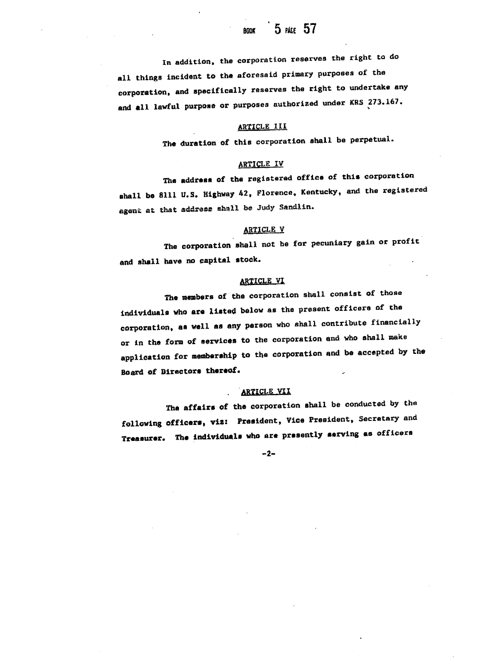In addition, the corporation reserves the right to do all things incident to the aforesaid primary purposes of the corporation, and specifically reserves tha right to undertake any pand all lawful purpose or purposes authorized under KRS 273.167.

#### ARTICLE III

The duration of this corporation shall be perpetual.

#### ARTICLE IV

The address of the registered office of this corporation shall be Sill U.S. Highway 42, Florence, Kentucky, and the registered agent at that address shall be Judy Sandlin.

# ARTICLE V

The corporation shall not be for pecuniary gain or profit and shall have no capital stock.

#### **ARTICLE VI**

The members of the corporation shall consist of those individuals who are listed below as the present officers of the corporation, as well as any parson who shall contribute financially or in the form of services to the corporation and who shall make application for membership to the corporation and be accepted by the Board of Directors thereof.

# ARTICLE VII

The affairs of the corporation shall be conducted by the following officers, viz: President, Vice President, Secretary and Treasurer. The individuals who are presently serving as officers

-2-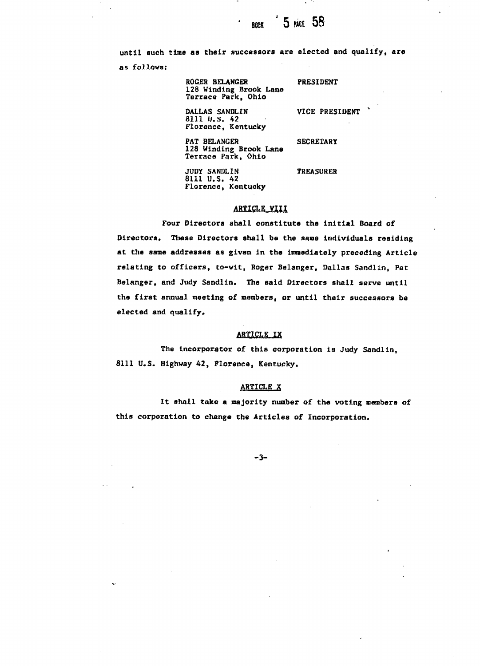5 mag 58 **BODK** 

as follows: ROGER BELANGER PRESIDENT 128 Winding Brook Lane Terrace Park, Ohio DALLAS SANDLIN VICE PRESIDENT 8111 U.S. 42 Florence, Kentucky PAT BELANGER SECRETARY 128 Winding Brook Lane Terrace Park, Ohio

until such time aa their successors are elected and qualify, are

JUDY SANDLIN TREASURER 8111 U.S. 42 Florence, Kentucky

#### **ARTICLE VIII**

Four Directors shall constitute the initial Board of Directors. These Directors shall be the sane individuals residing at the same addresses as given in the immediately preceding Article relating to officers, to-wit, Roger Belanger, Dallas Sandlin, Pat Belanger, and Judy Sandlin. The said Directors shall serve until the first annual meeting of members, or until their successors be elected and qualify.

#### ARTICLE IX

The incorporator of this corporation is Judy Sandlin, 8111 U.S. Highway 42, Florence, Kentucky.

#### ARTICLE X

It shall take a majority number of the voting members of this corporation to change the Articles of Incorporation.

-3-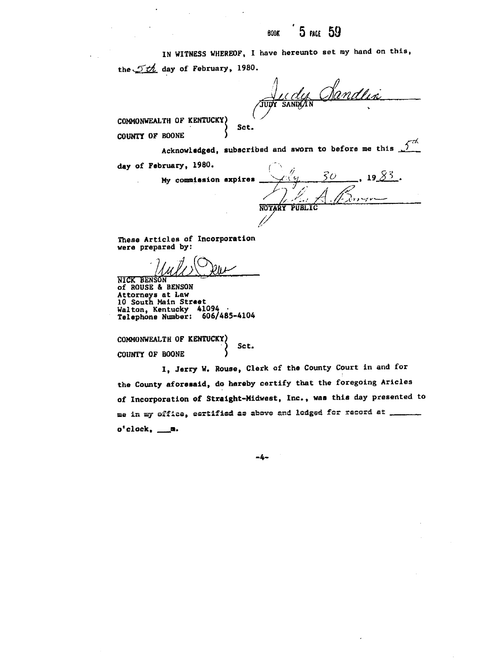# **BOOK** 5 PACE 59

IN WITNESS WHEREOF, I have hereunto set my hand on this,

the  $\mathcal{T}th$  day of February, 1980.

Jur dy Mandlin

COMMONWEALTH OF KENTUCKY) COUNTY OF BOONE

cknowledged, subscribed and sworn to before me this  $\alpha$  of February, 1980. (2008)  $\alpha$  we compute  $\alpha$  we compute  $\alpha$  we compute  $\alpha$  we compute  $\alpha$  we compute  $\alpha$ 

Sct. version of the

My commission expires

, 19 $8/3$  .  $50$ **TA** NOTARY **PUBLIC**

were prepared by:

These Articles of Incorporation \_NICK BENSON *'—'* ..................

NICK BENSON<br>of ROUSE & BENSON Attorneys at Law 10 South Main Street Walton, Kentucky 41094 Telephone Number: 606/485-4104

COMMONWEALTH OF KENTUCKY) ) Set. COUNTY OF BOONE

I, Jerry W. Rouse, Clerk of the County Court In and for the County aforesaid, do hereby certify that the foregoing Aricles of Incorporation of Straight-Midwest, Inc., was this day presented to me in my office, certified as above and lodged for record at \_  $o<sup>t</sup>$ clock,  $\_\_\_\_\_\$ .

-4-